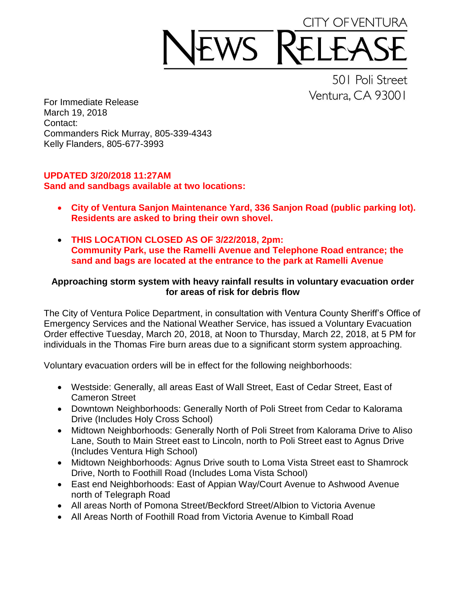## CITY OF VENTURA WS F

501 Poli Street Ventura, CA 93001

For Immediate Release March 19, 2018 Contact: Commanders Rick Murray, 805-339-4343 Kelly Flanders, 805-677-3993

## **UPDATED 3/20/2018 11:27AM Sand and sandbags available at two locations:**

- **City of Ventura Sanjon Maintenance Yard, 336 Sanjon Road (public parking lot). Residents are asked to bring their own shovel.**
- **THIS LOCATION CLOSED AS OF 3/22/2018, 2pm: Community Park, use the Ramelli Avenue and Telephone Road entrance; the sand and bags are located at the entrance to the park at Ramelli Avenue**

## **Approaching storm system with heavy rainfall results in voluntary evacuation order for areas of risk for debris flow**

The City of Ventura Police Department, in consultation with Ventura County Sheriff's Office of Emergency Services and the National Weather Service, has issued a Voluntary Evacuation Order effective Tuesday, March 20, 2018, at Noon to Thursday, March 22, 2018, at 5 PM for individuals in the Thomas Fire burn areas due to a significant storm system approaching.

Voluntary evacuation orders will be in effect for the following neighborhoods:

- Westside: Generally, all areas East of Wall Street, East of Cedar Street, East of Cameron Street
- Downtown Neighborhoods: Generally North of Poli Street from Cedar to Kalorama Drive (Includes Holy Cross School)
- Midtown Neighborhoods: Generally North of Poli Street from Kalorama Drive to Aliso Lane, South to Main Street east to Lincoln, north to Poli Street east to Agnus Drive (Includes Ventura High School)
- Midtown Neighborhoods: Agnus Drive south to Loma Vista Street east to Shamrock Drive, North to Foothill Road (Includes Loma Vista School)
- East end Neighborhoods: East of Appian Way/Court Avenue to Ashwood Avenue north of Telegraph Road
- All areas North of Pomona Street/Beckford Street/Albion to Victoria Avenue
- All Areas North of Foothill Road from Victoria Avenue to Kimball Road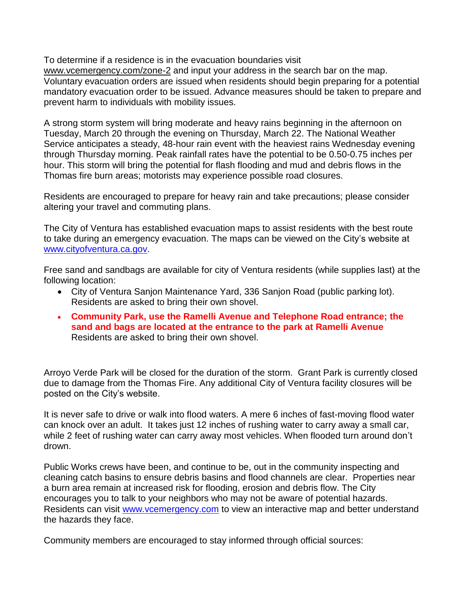To determine if a residence is in the evacuation boundaries visit

[www.vcemergency.com/zone-2](http://www.vcemergency.com/zone-2) and input your address in the search bar on the map. Voluntary evacuation orders are issued when residents should begin preparing for a potential mandatory evacuation order to be issued. Advance measures should be taken to prepare and prevent harm to individuals with mobility issues.

A strong storm system will bring moderate and heavy rains beginning in the afternoon on Tuesday, March 20 through the evening on Thursday, March 22. The National Weather Service anticipates a steady, 48-hour rain event with the heaviest rains Wednesday evening through Thursday morning. Peak rainfall rates have the potential to be 0.50-0.75 inches per hour. This storm will bring the potential for flash flooding and mud and debris flows in the Thomas fire burn areas; motorists may experience possible road closures.

Residents are encouraged to prepare for heavy rain and take precautions; please consider altering your travel and commuting plans.

The City of Ventura has established evacuation maps to assist residents with the best route to take during an emergency evacuation. The maps can be viewed on the City's website at [www.cityofventura.ca.gov.](http://www.cityofventura.ca.gov/)

Free sand and sandbags are available for city of Ventura residents (while supplies last) at the following location:

- City of Ventura Sanjon Maintenance Yard, 336 Sanjon Road (public parking lot). Residents are asked to bring their own shovel.
- **Community Park, use the Ramelli Avenue and Telephone Road entrance; the sand and bags are located at the entrance to the park at Ramelli Avenue** Residents are asked to bring their own shovel.

Arroyo Verde Park will be closed for the duration of the storm. Grant Park is currently closed due to damage from the Thomas Fire. Any additional City of Ventura facility closures will be posted on the City's website.

It is never safe to drive or walk into flood waters. A mere 6 inches of fast-moving flood water can knock over an adult. It takes just 12 inches of rushing water to carry away a small car, while 2 feet of rushing water can carry away most vehicles. When flooded turn around don't drown.

Public Works crews have been, and continue to be, out in the community inspecting and cleaning catch basins to ensure debris basins and flood channels are clear. Properties near a burn area remain at increased risk for flooding, erosion and debris flow. The City encourages you to talk to your neighbors who may not be aware of potential hazards. Residents can visit [www.vcemergency.com](http://www.vcemergency.com/) to view an interactive map and better understand the hazards they face.

Community members are encouraged to stay informed through official sources: